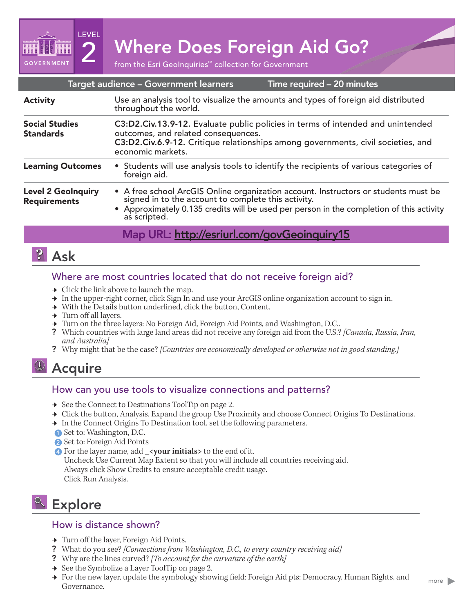2 Mhere Does Foreign Aid Go?<br>
from the Esri GeoInquiries™ collection for Government

| Time required - 20 minutes<br>Target audience - Government learners |                                                                                                                                                                                                                                                     |
|---------------------------------------------------------------------|-----------------------------------------------------------------------------------------------------------------------------------------------------------------------------------------------------------------------------------------------------|
| <b>Activity</b>                                                     | Use an analysis tool to visualize the amounts and types of foreign aid distributed<br>throughout the world.                                                                                                                                         |
| <b>Social Studies</b><br><b>Standards</b>                           | C3:D2.Civ.13.9-12. Evaluate public policies in terms of intended and unintended<br>outcomes, and related consequences.<br>C3:D2.Civ.6.9-12. Critique relationships among governments, civil societies, and<br>economic markets.                     |
| <b>Learning Outcomes</b>                                            | • Students will use analysis tools to identify the recipients of various categories of<br>foreign aid.                                                                                                                                              |
| <b>Level 2 GeoInquiry</b><br><b>Requirements</b>                    | • A free school ArcGIS Online organization account. Instructors or students must be signed in to the account to complete this activity.<br>• Approximately 0.135 credits will be used per person in the completion of this activity<br>as scripted. |
|                                                                     |                                                                                                                                                                                                                                                     |

## Map URL: http://esriurl.com/govGeoinquiry15

**2** Ask

**GOVERNMENT** 

LEVEL

## Where are most countries located that do not receive foreign aid?

- $\rightarrow$  Click the link above to launch the map.
- $\rightarrow$  In the upper-right corner, click Sign In and use your ArcGIS online organization account to sign in.
- $\rightarrow$  With the Details button underlined, click the button, Content.
- $\rightarrow$  Turn off all layers.
- → Turn on the three layers: No Foreign Aid, Foreign Aid Points, and Washington, D.C..
- ? Which countries with large land areas did not receive any foreign aid from the U.S.? *[Canada, Russia, Iran, and Australia]*
- ? Why might that be the case? *[Countries are economically developed or otherwise not in good standing.]*

# Acquire

## How can you use tools to visualize connections and patterns?

- → See the Connect to Destinations ToolTip on page 2.
- → Click the button, Analysis. Expand the group Use Proximity and choose Connect Origins To Destinations.
- → In the Connect Origins To Destination tool, set the following parameters.
- ʅ Set to: Washington, D.C. 1
- 2 Set to: Foreign Aid Points
- *A* For the layer name, add \_<**your initials**> to the end of it.

Uncheck Use Current Map Extent so that you will include all countries receiving aid. Always click Show Credits to ensure acceptable credit usage. Click Run Analysis.

# **Explore**

### How is distance shown?

- → Turn off the layer, Foreign Aid Points.
- ? What do you see? *[Connections from Washington, D.C., to every country receiving aid]*
- ? Why are the lines curved? *[To account for the curvature of the earth]*
- $\rightarrow$  See the Symbolize a Layer ToolTip on page 2.
- → For the new layer, update the symbology showing field: Foreign Aid pts: Democracy, Human Rights, and Governance.